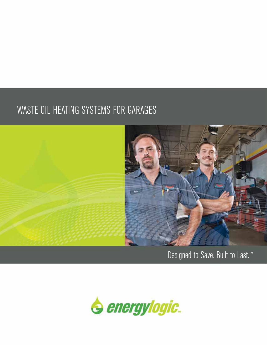### WASTE OIL HEATING SYSTEMS FOR GARAGES



Designed to Save. Built to Last.™

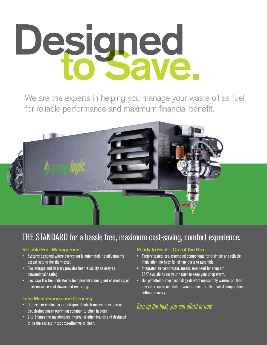# Designed<br>To Save.

We are the experts in helping you manage your waste oil as fuel for reliable performance and maximum financial benefit.



### THE STANDARD for a hassle free, maximum cost-saving, comfort experience.

### **Reliable Fuel Management**

- Systems designed where everything is automated, no adjustments except setting the thermostat.
- Fuel storage and delivery provides heat reliability as easy as conventional heating.
- Exclusive low fuel indicator to help prevent running out of used oil, no more nuisance shut downs and restarting.

### **Less Maintenance and Cleaning**

- Our system eliminates air entrapment which means no extensive troubleshooting or repriming common to other heaters.
- 2 to 3 times the maintenance interval of other brands and designed to be the easiest, most cost-effective to clean.

#### **Ready to Heat – Out of the Box**

- Factory tested, pre-assembled components for a simple and reliable installation, no bags full of tiny parts to assemble.
- Integrated air compressor, means zero need for shop air, 24/7 availability for your heater to keep your shop warm.
- Our patented burner technology delivers measurably warmer air than any other waste oil heater, twice the heat for the fastest temperature setting recovery.

### *Turn up the heat, you can afford to now.*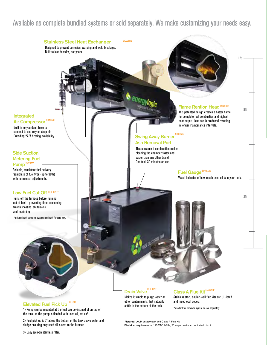### Available as complete bundled systems or sold separately. We make customizing your needs easy.



2) Fuel pick up is 6" above the bottom of the tank above water and sludge ensuring only used oil is sent to the furnace.

**Pictured:** 200H on 250 tank and Class A Flue Kit. **Electrical requirements:** 115 VAC 60Hz, 25 amps maximum dedicated circuit

3) Easy spin-on stainless filter.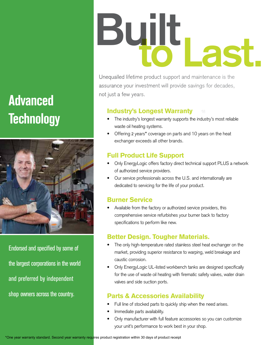# not just a few years. **Advanced Technology**



Endorsed and specified by some of the largest corporations in the world and preferred by independent shop owners across the country.

# Built Last.

Unequalled lifetime product support and maintenance is the assurance your investment will provide savings for decades,

### Industry's Longest Warranty

- The industry's longest warranty supports the industry's most reliable waste oil heating systems.
- Offering 2 years\* coverage on parts and 10 years on the heat exchanger exceeds all other brands.

### Full Product Life Support

- Only EnergyLogic offers factory direct technical support PLUS a network of authorized service providers.
- Our service professionals across the U.S. and internationally are dedicated to servicing for the life of your product.

### Burner Service

Available from the factory or authorized service providers, this comprehensive service refurbishes your burner back to factory specifications to perform like new.

### Better Design. Tougher Materials.

- The only high-temperature rated stainless steel heat exchanger on the market, providing superior resistance to warping, weld breakage and caustic corrosion.
- Only EnergyLogic UL-listed workbench tanks are designed specifically for the use of waste oil heating with firematic safety valves, water drain valves and side suction ports.

### Parts & Accessories Availability

- Full line of stocked parts to quickly ship when the need arises.
- Immediate parts availability.
- Only manufacturer with full feature accessories so you can customize your unit's performance to work best in your shop.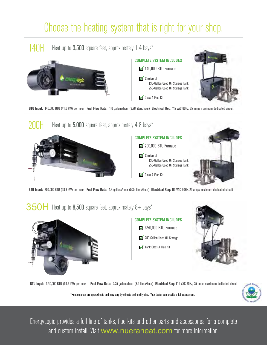## Choose the heating system that is right for your shop.





**BTU Input:** 200,000 BTU (58.3 kW) per hour **Fuel Flow Rate:** 1.4 gallons/hour (5.3a liters/hour) **Electrical Req:** 115 VAC 60Hz, 25 amps maximum dedicated circuit

### $350H$  Heat up to  $8,500$  square feet, approximately  $8+$  bays\*







**BTU Input:** 350,000 BTU (99.6 kW) per hour **Fuel Flow Rate:** 2.25 gallons/hour (8.5 liters/hour) **Electrical Req:** 115 VAC 60Hz, 25 amps maximum dedicated circuit

\*Heating areas are approximate and may vary by climate and facility size. Your dealer can provide a full assessment.



EnergyLogic provides a full line of tanks, flue kits and other parts and accessories for a complete and custom install. Visit www.nueraheat.com for more information.